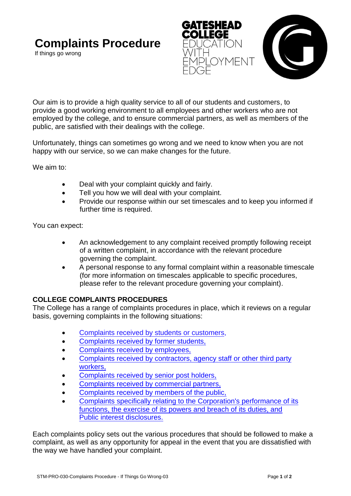# **Complaints Procedure**

If things go wrong





Our aim is to provide a high quality service to all of our students and customers, to provide a good working environment to all employees and other workers who are not employed by the college, and to ensure commercial partners, as well as members of the public, are satisfied with their dealings with the college.

Unfortunately, things can sometimes go wrong and we need to know when you are not happy with our service, so we can make changes for the future.

We aim to:

- Deal with your complaint quickly and fairly.
- Tell you how we will deal with your complaint.
- Provide our response within our set timescales and to keep you informed if further time is required.

You can expect:

- An acknowledgement to any complaint received promptly following receipt of a written complaint, in accordance with the relevant procedure governing the complaint.
- A personal response to any formal complaint within a reasonable timescale (for more information on timescales applicable to specific procedures, please refer to the relevant procedure governing your complaint).

## **COLLEGE COMPLAINTS PROCEDURES**

The College has a range of complaints procedures in place, which it reviews on a regular basis, governing complaints in the following situations:

- [Complaints received by students or customers](https://www.gateshead.ac.uk/storage/app/media/Publications%20and%20FOI/Complaints%20Procedure/stm-pro-024-complaints-procedure-students-and-customers-04-reviewed-15th-january-2021.pdf),
- [Complaints received by former students,](https://www.gateshead.ac.uk/storage/app/media/Publications%20and%20FOI/Complaints%20Procedure/stm-pro-027-complaints-procedure-former-students-04.pdf)
- [Complaints received by employees,](https://www.gateshead.ac.uk/storage/app/media/Publications%20and%20FOI/Complaints%20Procedure/stm-pro-028-complaints-procedure-employees-04-january-2021.pdf)
- [Complaints received by contractors, agency staff or other third party](https://www.gateshead.ac.uk/storage/app/media/Publications%20and%20FOI/Complaints%20Procedure/stm-pro-029-complaints-procedure-agency-workers-and-third-party-contrac-updated-030221.pdf) workers,
- [Complaints received by senior post holders,](https://www.gateshead.ac.uk/storage/app/media/Publications%20and%20FOI/Complaints%20Procedure/stm-pro-026-complaints-procedure-executive-team-04-reviewed-15th-january-2021.pdf)
- [Complaints received by commercial partners,](https://www.gateshead.ac.uk/storage/app/media/Publications%20and%20FOI/Complaints%20Procedure/stm-pro-025-complaints-procedure-commercial-partners-04.pdf)
- [Complaints received by members of the public,](https://www.gateshead.ac.uk/storage/app/media/Publications%20and%20FOI/Complaints%20Procedure/stm-pro-023-complaints-procedure-members-of-the-public-04-reviewed-15th-january-2021.pdf)
- [Complaints specifically relating to the Corporation's performance of its](https://www.gateshead.ac.uk/storage/app/media/Publications%20and%20FOI/Complaints%20Procedure/complaints-procedure-corporation-or-a-corporation-member-or-the-clerk.pdf) functions, the exercise of its powers and breach of its duties, and Public interest disclosures.

Each complaints policy sets out the various procedures that should be followed to make a complaint, as well as any opportunity for appeal in the event that you are dissatisfied with the way we have handled your complaint.